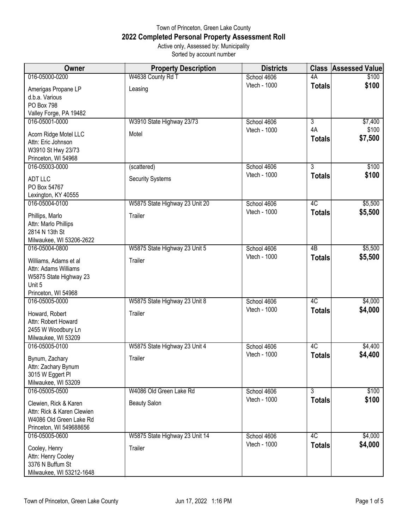## Town of Princeton, Green Lake County **2022 Completed Personal Property Assessment Roll** Active only, Assessed by: Municipality Sorted by account number

| <b>Owner</b>                                                                                              | <b>Property Description</b>    | <b>Districts</b>            | <b>Class</b>        | <b>Assessed Value</b> |
|-----------------------------------------------------------------------------------------------------------|--------------------------------|-----------------------------|---------------------|-----------------------|
| 016-05000-0200                                                                                            | W4638 County Rd T              | School 4606                 | 4A                  | \$100                 |
| Amerigas Propane LP<br>d.b.a. Various<br>PO Box 798                                                       | Leasing                        | Vtech - 1000                | <b>Totals</b>       | \$100                 |
| Valley Forge, PA 19482<br>016-05001-0000                                                                  | W3910 State Highway 23/73      | School 4606                 | $\overline{3}$      | \$7,400               |
| Acorn Ridge Motel LLC<br>Attn: Eric Johnson<br>W3910 St Hwy 23/73<br>Princeton, WI 54968                  | Motel                          | Vtech - 1000                | 4A<br><b>Totals</b> | \$100<br>\$7,500      |
| 016-05003-0000                                                                                            | (scattered)                    | School 4606                 | $\overline{3}$      | \$100                 |
| <b>ADT LLC</b><br>PO Box 54767<br>Lexington, KY 40555                                                     | <b>Security Systems</b>        | Vtech - 1000                | <b>Totals</b>       | \$100                 |
| 016-05004-0100                                                                                            | W5875 State Highway 23 Unit 20 | School 4606<br>Vtech - 1000 | 4C                  | \$5,500               |
| Phillips, Marlo<br>Attn: Marlo Phillips<br>2814 N 13th St<br>Milwaukee, WI 53206-2622                     | Trailer                        |                             | <b>Totals</b>       | \$5,500               |
| 016-05004-0800                                                                                            | W5875 State Highway 23 Unit 5  | School 4606                 | $\overline{AB}$     | \$5,500               |
| Williams, Adams et al<br>Attn: Adams Williams<br>W5875 State Highway 23<br>Unit 5<br>Princeton, WI 54968  | Trailer                        | Vtech - 1000                | <b>Totals</b>       | \$5,500               |
| 016-05005-0000                                                                                            | W5875 State Highway 23 Unit 8  | School 4606                 | 4C                  | \$4,000               |
| Howard, Robert<br>Attn: Robert Howard<br>2455 W Woodbury Ln<br>Milwaukee, WI 53209                        | Trailer                        | Vtech - 1000                | <b>Totals</b>       | \$4,000               |
| 016-05005-0100                                                                                            | W5875 State Highway 23 Unit 4  | School 4606                 | 4C                  | \$4,400               |
| Bynum, Zachary<br>Attn: Zachary Bynum<br>3015 W Eggert Pl<br>Milwaukee, WI 53209                          | Trailer                        | Vtech - 1000                | <b>Totals</b>       | \$4,400               |
| 016-05005-0500                                                                                            | W4086 Old Green Lake Rd        | School 4606                 | 3                   | \$100                 |
| Clewien, Rick & Karen<br>Attn: Rick & Karen Clewien<br>W4086 Old Green Lake Rd<br>Princeton, WI 549688656 | <b>Beauty Salon</b>            | Vtech - 1000                | <b>Totals</b>       | \$100                 |
| 016-05005-0600                                                                                            | W5875 State Highway 23 Unit 14 | School 4606                 | 4C                  | \$4,000               |
| Cooley, Henry<br>Attn: Henry Cooley<br>3376 N Buffum St<br>Milwaukee, WI 53212-1648                       | Trailer                        | Vtech - 1000                | <b>Totals</b>       | \$4,000               |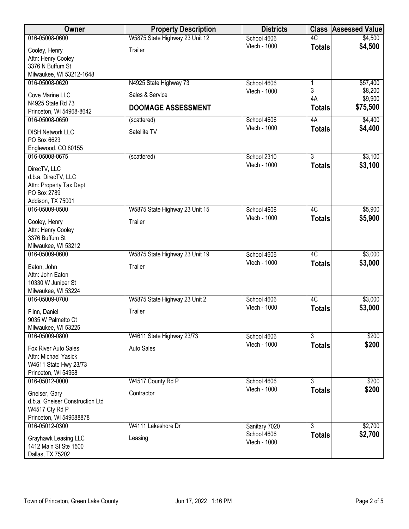| Owner                                                                                              | <b>Property Description</b>    | <b>Districts</b>            | <b>Class</b>   | <b>Assessed Value</b> |
|----------------------------------------------------------------------------------------------------|--------------------------------|-----------------------------|----------------|-----------------------|
| 016-05008-0600                                                                                     | W5875 State Highway 23 Unit 12 | School 4606                 | 4C             | \$4,500               |
| Cooley, Henry<br>Attn: Henry Cooley<br>3376 N Buffum St<br>Milwaukee, WI 53212-1648                | Trailer                        | Vtech - 1000                | <b>Totals</b>  | \$4,500               |
| 016-05008-0620                                                                                     | N4925 State Highway 73         | School 4606                 | 1              | \$57,400              |
| Cove Marine LLC<br>N4925 State Rd 73                                                               | Sales & Service                | Vtech - 1000                | 3<br>4A        | \$8,200<br>\$9,900    |
| Princeton, WI 54968-8642                                                                           | <b>DOOMAGE ASSESSMENT</b>      |                             | <b>Totals</b>  | \$75,500              |
| 016-05008-0650                                                                                     | (scattered)                    | School 4606                 | 4A             | \$4,400               |
| <b>DISH Network LLC</b><br>PO Box 6623<br>Englewood, CO 80155                                      | Satellite TV                   | Vtech - 1000                | <b>Totals</b>  | \$4,400               |
| 016-05008-0675                                                                                     | (scattered)                    | School 2310                 | $\overline{3}$ | \$3,100               |
| DirecTV, LLC<br>d.b.a. DirecTV, LLC<br>Attn: Property Tax Dept<br>PO Box 2789<br>Addison, TX 75001 |                                | Vtech - 1000                | <b>Totals</b>  | \$3,100               |
| 016-05009-0500                                                                                     | W5875 State Highway 23 Unit 15 | School 4606                 | 4C             | \$5,900               |
| Cooley, Henry<br>Attn: Henry Cooley<br>3376 Buffum St<br>Milwaukee, WI 53212                       | Trailer                        | Vtech - 1000                | <b>Totals</b>  | \$5,900               |
| 016-05009-0600                                                                                     | W5875 State Highway 23 Unit 19 | School 4606                 | 4C             | \$3,000               |
| Eaton, John<br>Attn: John Eaton<br>10330 W Juniper St<br>Milwaukee, WI 53224                       | Trailer                        | Vtech - 1000                | <b>Totals</b>  | \$3,000               |
| 016-05009-0700                                                                                     | W5875 State Highway 23 Unit 2  | School 4606                 | 4C             | \$3,000               |
| Flinn, Daniel<br>9035 W Palmetto Ct<br>Milwaukee, WI 53225                                         | Trailer                        | <b>Vtech - 1000</b>         | <b>Totals</b>  | \$3,000               |
| 016-05009-0800                                                                                     | W4611 State Highway 23/73      | School 4606                 | $\overline{3}$ | \$200                 |
| Fox River Auto Sales<br>Attn: Michael Yasick<br>W4611 State Hwy 23/73<br>Princeton, WI 54968       | <b>Auto Sales</b>              | Vtech - 1000                | <b>Totals</b>  | \$200                 |
| 016-05012-0000                                                                                     | W4517 County Rd P              | School 4606                 | $\overline{3}$ | \$200                 |
| Gneiser, Gary<br>d.b.a. Gneiser Construction Ltd<br>W4517 Cty Rd P<br>Princeton, WI 549688878      | Contractor                     | Vtech - 1000                | <b>Totals</b>  | \$200                 |
| 016-05012-0300                                                                                     | W4111 Lakeshore Dr             | Sanitary 7020               | $\overline{3}$ | \$2,700               |
| Grayhawk Leasing LLC<br>1412 Main St Ste 1500<br>Dallas, TX 75202                                  | Leasing                        | School 4606<br>Vtech - 1000 | <b>Totals</b>  | \$2,700               |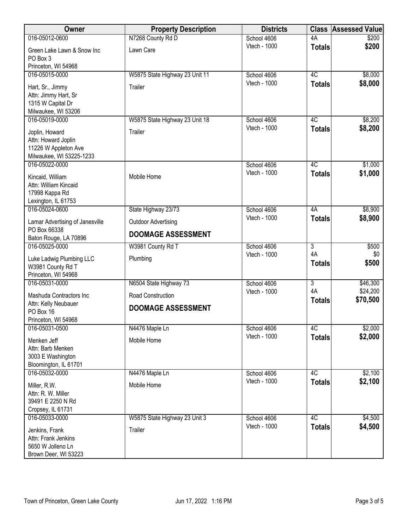| Owner                                                                                     | <b>Property Description</b>    | <b>Districts</b> | <b>Class</b>        | <b>Assessed Value</b> |
|-------------------------------------------------------------------------------------------|--------------------------------|------------------|---------------------|-----------------------|
| 016-05012-0600                                                                            | N7268 County Rd D              | School 4606      | 4A                  | \$200                 |
| Green Lake Lawn & Snow Inc<br>PO Box 3                                                    | Lawn Care                      | Vtech - 1000     | <b>Totals</b>       | \$200                 |
| Princeton, WI 54968                                                                       |                                |                  |                     |                       |
| 016-05015-0000                                                                            | W5875 State Highway 23 Unit 11 | School 4606      | 4C                  | \$8,000               |
| Hart, Sr., Jimmy<br>Attn: Jimmy Hart, Sr<br>1315 W Capital Dr                             | Trailer                        | Vtech - 1000     | <b>Totals</b>       | \$8,000               |
| Milwaukee, WI 53206                                                                       |                                |                  |                     |                       |
| 016-05019-0000                                                                            | W5875 State Highway 23 Unit 18 | School 4606      | 4C                  | \$8,200               |
| Joplin, Howard<br>Attn: Howard Joplin<br>11226 W Appleton Ave<br>Milwaukee, WI 53225-1233 | Trailer                        | Vtech - 1000     | <b>Totals</b>       | \$8,200               |
| 016-05022-0000                                                                            |                                | School 4606      | 4C                  | \$1,000               |
| Kincaid, William<br>Attn: William Kincaid<br>17998 Kappa Rd<br>Lexington, IL 61753        | Mobile Home                    | Vtech - 1000     | <b>Totals</b>       | \$1,000               |
| 016-05024-0600                                                                            | State Highway 23/73            | School 4606      | 4A                  | \$8,900               |
| Lamar Advertising of Janesville                                                           | <b>Outdoor Advertising</b>     | Vtech - 1000     | <b>Totals</b>       | \$8,900               |
| PO Box 66338<br>Baton Rouge, LA 70896                                                     | <b>DOOMAGE ASSESSMENT</b>      |                  |                     |                       |
| 016-05025-0000                                                                            | W3981 County Rd T              | School 4606      | $\overline{3}$      | \$500                 |
| Luke Ladwig Plumbing LLC<br>W3981 County Rd T<br>Princeton, WI 54968                      | Plumbing                       | Vtech - 1000     | 4A<br><b>Totals</b> | \$0<br>\$500          |
| 016-05031-0000                                                                            | N6504 State Highway 73         | School 4606      | 3                   | \$46,300              |
| Mashuda Contractors Inc<br>Attn: Kelly Neubauer                                           | Road Construction              | Vtech - 1000     | 4A<br><b>Totals</b> | \$24,200<br>\$70,500  |
| PO Box 16                                                                                 | <b>DOOMAGE ASSESSMENT</b>      |                  |                     |                       |
| Princeton, WI 54968                                                                       |                                |                  |                     |                       |
| 016-05031-0500                                                                            | N4476 Maple Ln                 | School 4606      | 4C                  | \$2,000               |
| Menken Jeff<br>Attn: Barb Menken<br>3003 E Washington<br>Bloomington, IL 61701            | Mobile Home                    | Vtech - 1000     | <b>Totals</b>       | \$2,000               |
| 016-05032-0000                                                                            | N4476 Maple Ln                 | School 4606      | 4C                  | \$2,100               |
| Miller, R.W.<br>Attn: R. W. Miller<br>39491 E 2250 N Rd<br>Cropsey, IL 61731              | Mobile Home                    | Vtech - 1000     | <b>Totals</b>       | \$2,100               |
| 016-05033-0000                                                                            | W5875 State Highway 23 Unit 3  | School 4606      | 4C                  | \$4,500               |
| Jenkins, Frank<br>Attn: Frank Jenkins<br>5650 W Jolleno Ln<br>Brown Deer, WI 53223        | Trailer                        | Vtech - 1000     | <b>Totals</b>       | \$4,500               |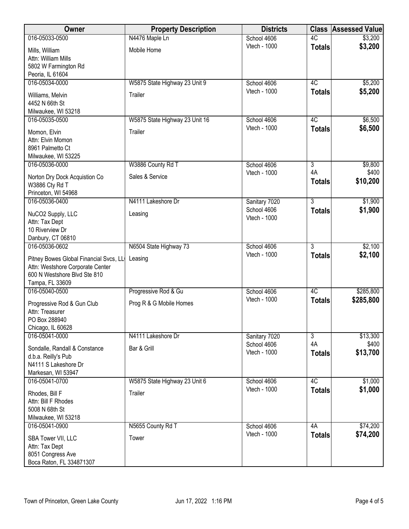| Owner                                                                                                                         | <b>Property Description</b>    | <b>Districts</b>            | <b>Class</b>        | <b>Assessed Value</b> |
|-------------------------------------------------------------------------------------------------------------------------------|--------------------------------|-----------------------------|---------------------|-----------------------|
| 016-05033-0500                                                                                                                | N4476 Maple Ln                 | School 4606                 | 4C                  | \$3,200               |
| Mills, William<br>Attn: William Mills<br>5802 W Farmington Rd                                                                 | Mobile Home                    | Vtech - 1000                | <b>Totals</b>       | \$3,200               |
| Peoria, IL 61604                                                                                                              |                                |                             |                     |                       |
| 016-05034-0000                                                                                                                | W5875 State Highway 23 Unit 9  | School 4606                 | 4C                  | \$5,200               |
| Williams, Melvin<br>4452 N 66th St<br>Milwaukee, WI 53218                                                                     | Trailer                        | Vtech - 1000                | <b>Totals</b>       | \$5,200               |
| 016-05035-0500                                                                                                                | W5875 State Highway 23 Unit 16 | School 4606                 | 4C                  | \$6,500               |
| Momon, Elvin<br>Attn: Elvin Momon<br>8961 Palmetto Ct<br>Milwaukee, WI 53225                                                  | Trailer                        | Vtech - 1000                | <b>Totals</b>       | \$6,500               |
| 016-05036-0000                                                                                                                | W3886 County Rd T              | School 4606                 | $\overline{3}$      | \$9,800               |
| Norton Dry Dock Acquistion Co<br>W3886 Cty Rd T<br>Princeton, WI 54968                                                        | Sales & Service                | Vtech - 1000                | 4A<br><b>Totals</b> | \$400<br>\$10,200     |
| 016-05036-0400                                                                                                                | N4111 Lakeshore Dr             | Sanitary 7020               | $\overline{3}$      | \$1,900               |
| NuCO2 Supply, LLC<br>Attn: Tax Dept<br>10 Riverview Dr                                                                        | Leasing                        | School 4606<br>Vtech - 1000 | <b>Totals</b>       | \$1,900               |
| Danbury, CT 06810<br>016-05036-0602                                                                                           | N6504 State Highway 73         | School 4606                 | $\overline{3}$      | \$2,100               |
| Pitney Bowes Global Financial Svcs, LL<br>Attn: Westshore Corporate Center<br>600 N Westshore Blvd Ste 810<br>Tampa, FL 33609 | Leasing                        | Vtech - 1000                | <b>Totals</b>       | \$2,100               |
| 016-05040-0500                                                                                                                | Progressive Rod & Gu           | School 4606                 | 4C                  | \$285,800             |
| Progressive Rod & Gun Club<br>Attn: Treasurer<br>PO Box 288940<br>Chicago, IL 60628                                           | Prog R & G Mobile Homes        | <b>Vtech - 1000</b>         | <b>Totals</b>       | \$285,800             |
| 016-05041-0000                                                                                                                | N4111 Lakeshore Dr             | Sanitary 7020               | $\overline{3}$      | \$13,300              |
| Sondalle, Randall & Constance<br>d.b.a. Reilly's Pub<br>N4111 S Lakeshore Dr<br>Markesan, WI 53947                            | Bar & Grill                    | School 4606<br>Vtech - 1000 | 4A<br><b>Totals</b> | \$400<br>\$13,700     |
| 016-05041-0700                                                                                                                | W5875 State Highway 23 Unit 6  | School 4606                 | 4C                  | \$1,000               |
| Rhodes, Bill F<br>Attn: Bill F Rhodes<br>5008 N 68th St<br>Milwaukee, WI 53218                                                | Trailer                        | Vtech - 1000                | <b>Totals</b>       | \$1,000               |
| 016-05041-0900                                                                                                                | N5655 County Rd T              | School 4606                 | 4A                  | \$74,200              |
| SBA Tower VII, LLC<br>Attn: Tax Dept<br>8051 Congress Ave<br>Boca Raton, FL 334871307                                         | Tower                          | Vtech - 1000                | <b>Totals</b>       | \$74,200              |